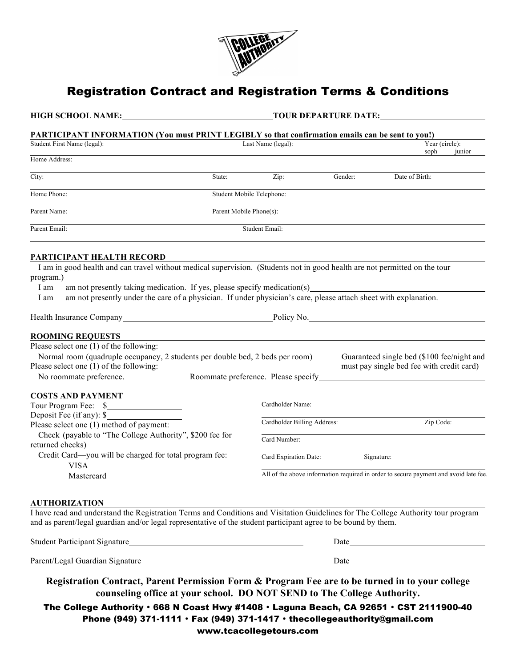

# Registration Contract and Registration Terms & Conditions

**HIGH SCHOOL NAME: TOUR DEPARTURE DATE:**

### **PARTICIPANT INFORMATION (You must PRINT LEGIBLY so that confirmation emails can be sent to you!)**

| Student First Name (legal):                                                                                                                                                                                  | Last Name (legal):                  |         |                                                                                         | Year (circle): |  |
|--------------------------------------------------------------------------------------------------------------------------------------------------------------------------------------------------------------|-------------------------------------|---------|-----------------------------------------------------------------------------------------|----------------|--|
| Home Address:                                                                                                                                                                                                |                                     |         | soph                                                                                    | junior         |  |
| City:<br>State:                                                                                                                                                                                              | Zip:                                | Gender: | Date of Birth:                                                                          |                |  |
| Home Phone:                                                                                                                                                                                                  | Student Mobile Telephone:           |         |                                                                                         |                |  |
| Parent Name:                                                                                                                                                                                                 | Parent Mobile Phone(s):             |         |                                                                                         |                |  |
| Parent Email:                                                                                                                                                                                                | Student Email:                      |         |                                                                                         |                |  |
| PARTICIPANT HEALTH RECORD                                                                                                                                                                                    |                                     |         |                                                                                         |                |  |
| I am in good health and can travel without medical supervision. (Students not in good health are not permitted on the tour<br>program.)                                                                      |                                     |         |                                                                                         |                |  |
| am not presently taking medication. If yes, please specify medication(s)<br>I am<br>am not presently under the care of a physician. If under physician's care, please attach sheet with explanation.<br>I am |                                     |         |                                                                                         |                |  |
|                                                                                                                                                                                                              |                                     |         | Policy No.                                                                              |                |  |
| <b>ROOMING REQUESTS</b>                                                                                                                                                                                      |                                     |         |                                                                                         |                |  |
| Please select one (1) of the following:                                                                                                                                                                      |                                     |         |                                                                                         |                |  |
| Normal room (quadruple occupancy, 2 students per double bed, 2 beds per room)<br>Please select one (1) of the following:                                                                                     |                                     |         | Guaranteed single bed (\$100 fee/night and<br>must pay single bed fee with credit card) |                |  |
| No roommate preference.                                                                                                                                                                                      | Roommate preference. Please specify |         |                                                                                         |                |  |
| <b>COSTS AND PAYMENT</b>                                                                                                                                                                                     |                                     |         |                                                                                         |                |  |
|                                                                                                                                                                                                              | Cardholder Name:                    |         |                                                                                         |                |  |
| Deposit Fee (if any): \$                                                                                                                                                                                     |                                     |         |                                                                                         |                |  |
| Please select one (1) method of payment:                                                                                                                                                                     | Cardholder Billing Address:         |         | Zip Code:                                                                               |                |  |
| Check (payable to "The College Authority", \$200 fee for<br>returned checks)                                                                                                                                 | Card Number:                        |         |                                                                                         |                |  |
| Credit Card—you will be charged for total program fee:<br><b>VISA</b>                                                                                                                                        | Card Expiration Date:               |         | Signature:                                                                              |                |  |

All of the above information required in order to secure payment and avoid late fee.

#### **AUTHORIZATION**

Mastercard

I have read and understand the Registration Terms and Conditions and Visitation Guidelines for The College Authority tour program and as parent/legal guardian and/or legal representative of the student participant agree to be bound by them.

| <b>Student Participant Signature</b> | )ate |
|--------------------------------------|------|
|                                      |      |
| Parent/Legal Guardian Signature      | Date |

**Registration Contract, Parent Permission Form & Program Fee are to be turned in to your college counseling office at your school. DO NOT SEND to The College Authority.**

The College Authority • 668 N Coast Hwy #1408 • Laguna Beach, CA 92651 • CST 2111900-40 Phone (949) 371-1111 • Fax (949) 371-1417 • thecollegeauthority@gmail.com www.tcacollegetours.com